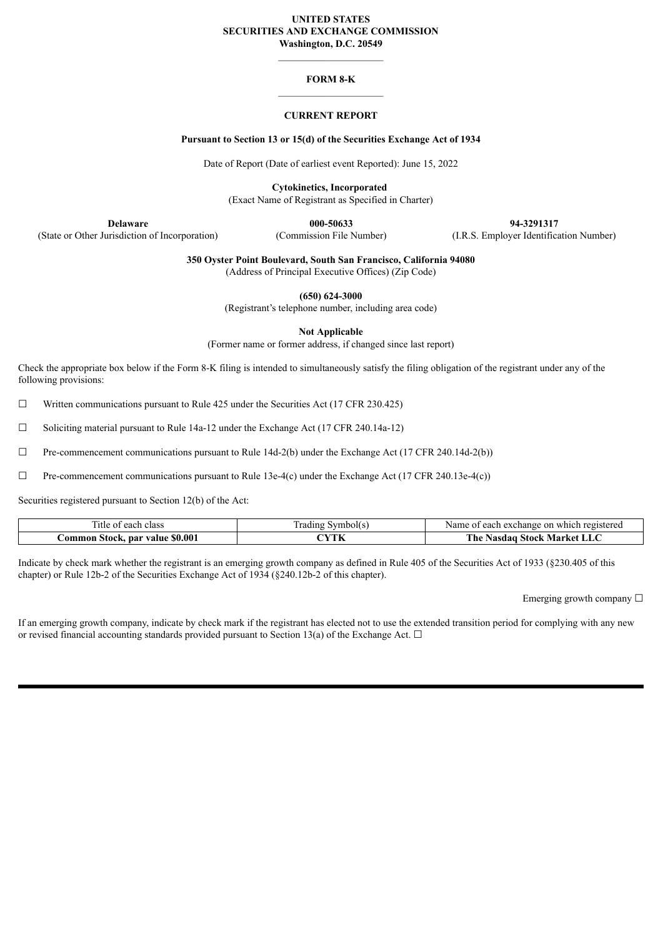## **UNITED STATES SECURITIES AND EXCHANGE COMMISSION Washington, D.C. 20549**

# **FORM 8-K**

# **CURRENT REPORT**

## **Pursuant to Section 13 or 15(d) of the Securities Exchange Act of 1934**

Date of Report (Date of earliest event Reported): June 15, 2022

**Cytokinetics, Incorporated**

(Exact Name of Registrant as Specified in Charter)

(State or Other Jurisdiction of Incorporation) (Commission File Number) (I.R.S. Employer Identification Number)

**Delaware 000-50633 94-3291317**

**350 Oyster Point Boulevard, South San Francisco, California 94080**

(Address of Principal Executive Offices) (Zip Code)

**(650) 624-3000**

(Registrant's telephone number, including area code)

**Not Applicable**

(Former name or former address, if changed since last report)

Check the appropriate box below if the Form 8-K filing is intended to simultaneously satisfy the filing obligation of the registrant under any of the following provisions:

 $\Box$  Written communications pursuant to Rule 425 under the Securities Act (17 CFR 230.425)

☐ Soliciting material pursuant to Rule 14a-12 under the Exchange Act (17 CFR 240.14a-12)

 $\Box$  Pre-commencement communications pursuant to Rule 14d-2(b) under the Exchange Act (17 CFR 240.14d-2(b))

 $\Box$  Pre-commencement communications pursuant to Rule 13e-4(c) under the Exchange Act (17 CFR 240.13e-4(c))

Securities registered pursuant to Section 12(b) of the Act:

| l itle of<br>class<br>0.00h<br>cacii        | ÷<br>.wr<br>radıng<br>വിട | registereo<br>exchange<br>each<br>which<br>Name<br>-on |
|---------------------------------------------|---------------------------|--------------------------------------------------------|
| \$0.00<br>.ommon<br><b>Stock, par value</b> | $^\sim$ VTL<br>1. IN      | m.<br>. ne<br>Stock<br>Market<br>Nasdao<br>- LLU       |

Indicate by check mark whether the registrant is an emerging growth company as defined in Rule 405 of the Securities Act of 1933 (§230.405 of this chapter) or Rule 12b-2 of the Securities Exchange Act of 1934 (§240.12b-2 of this chapter).

Emerging growth company  $\Box$ 

If an emerging growth company, indicate by check mark if the registrant has elected not to use the extended transition period for complying with any new or revised financial accounting standards provided pursuant to Section 13(a) of the Exchange Act.  $\Box$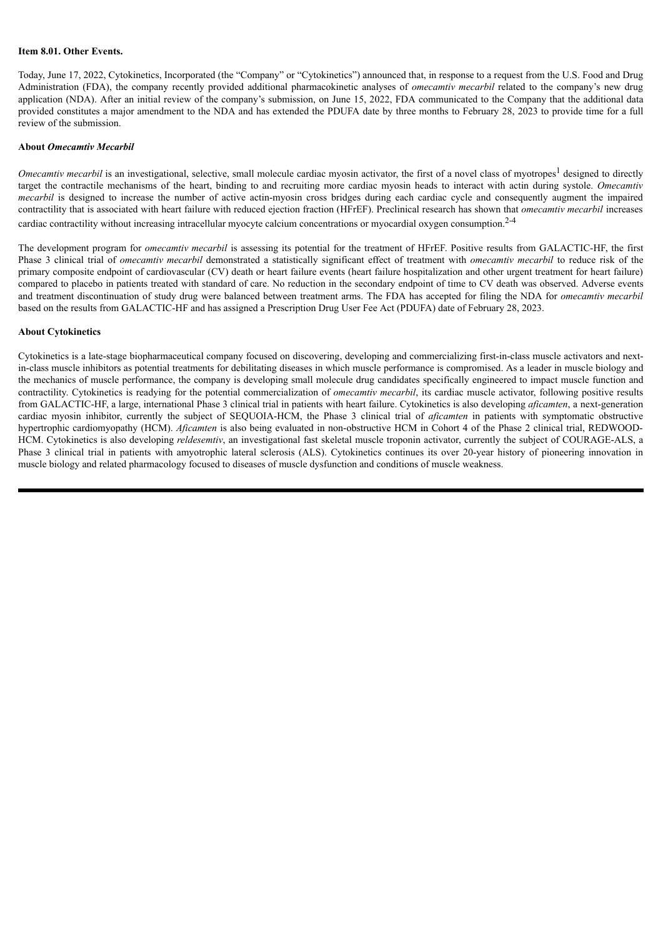#### **Item 8.01. Other Events.**

Today, June 17, 2022, Cytokinetics, Incorporated (the "Company" or "Cytokinetics") announced that, in response to a request from the U.S. Food and Drug Administration (FDA), the company recently provided additional pharmacokinetic analyses of *omecamtiv mecarbil* related to the company's new drug application (NDA). After an initial review of the company's submission, on June 15, 2022, FDA communicated to the Company that the additional data provided constitutes a major amendment to the NDA and has extended the PDUFA date by three months to February 28, 2023 to provide time for a full review of the submission.

#### **About** *Omecamtiv Mecarbil*

*Omecamtiv mecarbil* is an investigational, selective, small molecule cardiac myosin activator, the first of a novel class of myotropes<sup>1</sup> designed to directly target the contractile mechanisms of the heart, binding to and recruiting more cardiac myosin heads to interact with actin during systole. *Omecamtiv mecarbil* is designed to increase the number of active actin-myosin cross bridges during each cardiac cycle and consequently augment the impaired contractility that is associated with heart failure with reduced ejection fraction (HFrEF). Preclinical research has shown that *omecamtiv mecarbil* increases cardiac contractility without increasing intracellular myocyte calcium concentrations or myocardial oxygen consumption.<sup>2-4</sup>

The development program for *omecamtiv mecarbil* is assessing its potential for the treatment of HFrEF. Positive results from GALACTIC-HF, the first Phase 3 clinical trial of *omecamtiv mecarbil* demonstrated a statistically significant effect of treatment with *omecamtiv mecarbil* to reduce risk of the primary composite endpoint of cardiovascular (CV) death or heart failure events (heart failure hospitalization and other urgent treatment for heart failure) compared to placebo in patients treated with standard of care. No reduction in the secondary endpoint of time to CV death was observed. Adverse events and treatment discontinuation of study drug were balanced between treatment arms. The FDA has accepted for filing the NDA for *omecamtiv mecarbil* based on the results from GALACTIC-HF and has assigned a Prescription Drug User Fee Act (PDUFA) date of February 28, 2023.

#### **About Cytokinetics**

Cytokinetics is a late-stage biopharmaceutical company focused on discovering, developing and commercializing first-in-class muscle activators and nextin-class muscle inhibitors as potential treatments for debilitating diseases in which muscle performance is compromised. As a leader in muscle biology and the mechanics of muscle performance, the company is developing small molecule drug candidates specifically engineered to impact muscle function and contractility. Cytokinetics is readying for the potential commercialization of *omecamtiv mecarbil*, its cardiac muscle activator, following positive results from GALACTIC-HF, a large, international Phase 3 clinical trial in patients with heart failure. Cytokinetics is also developing *aficamten*, a next-generation cardiac myosin inhibitor, currently the subject of SEQUOIA-HCM, the Phase 3 clinical trial of *aficamten* in patients with symptomatic obstructive hypertrophic cardiomyopathy (HCM). *Aficamten* is also being evaluated in non-obstructive HCM in Cohort 4 of the Phase 2 clinical trial, REDWOOD-HCM. Cytokinetics is also developing *reldesemtiv*, an investigational fast skeletal muscle troponin activator, currently the subject of COURAGE-ALS, a Phase 3 clinical trial in patients with amyotrophic lateral sclerosis (ALS). Cytokinetics continues its over 20-year history of pioneering innovation in muscle biology and related pharmacology focused to diseases of muscle dysfunction and conditions of muscle weakness.